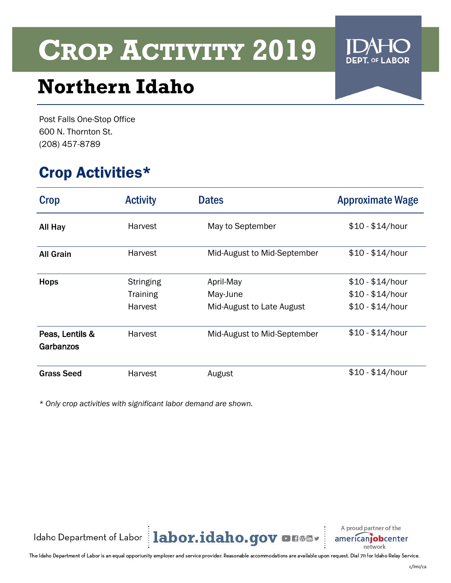

## **Northern Idaho**

Post Falls One-Stop Office 600 N. Thornton St. (208) 457-8789

### Crop Activities\*

| <b>Crop</b>                  | <b>Activity</b>                                | <b>Dates</b>                                       | <b>Approximate Wage</b>                                  |
|------------------------------|------------------------------------------------|----------------------------------------------------|----------------------------------------------------------|
| All Hay                      | Harvest                                        | May to September                                   | $$10 - $14/hour$                                         |
| <b>All Grain</b>             | <b>Harvest</b>                                 | Mid-August to Mid-September                        | $$10 - $14/hour$                                         |
| <b>Hops</b>                  | <b>Stringing</b><br><b>Training</b><br>Harvest | April-May<br>May-June<br>Mid-August to Late August | $$10 - $14/hour$<br>$$10 - $14/hour$<br>$$10 - $14/hour$ |
| Peas, Lentils &<br>Garbanzos | Harvest                                        | Mid-August to Mid-September                        | $$10 - $14/hour$                                         |
| <b>Grass Seed</b>            | Harvest                                        | August                                             | $$10 - $14/hour$                                         |

*\* Only crop activities with significant labor demand are shown.*



A proud partner of the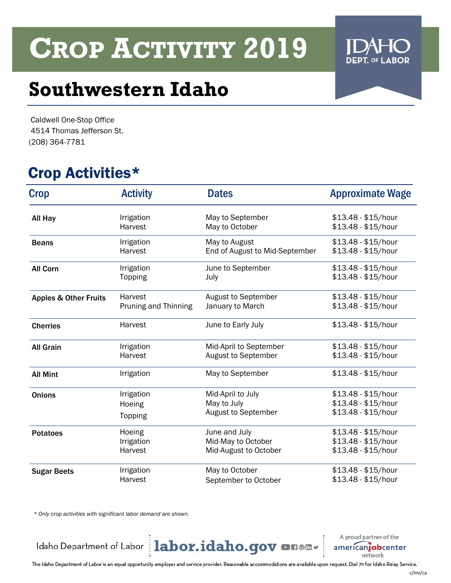### **Southwestern Idaho**

Caldwell One-Stop Office 4514 Thomas Jefferson St. (208) 364-7781

### Crop Activities\*

| Crop                             | <b>Activity</b>      | <b>Dates</b>                   | <b>Approximate Wage</b> |
|----------------------------------|----------------------|--------------------------------|-------------------------|
| All Hay                          | Irrigation           | May to September               | $$13.48 - $15/hour$     |
|                                  | Harvest              | May to October                 | $$13.48 - $15/hour$     |
| <b>Beans</b>                     | Irrigation           | May to August                  | $$13.48 - $15/hour$     |
|                                  | Harvest              | End of August to Mid-September | \$13.48 - \$15/hour     |
| <b>All Corn</b>                  | Irrigation           | June to September              | \$13.48 - \$15/hour     |
|                                  | Topping              | July                           | \$13.48 - \$15/hour     |
| <b>Apples &amp; Other Fruits</b> | Harvest              | August to September            | \$13.48 - \$15/hour     |
|                                  | Pruning and Thinning | January to March               | \$13.48 - \$15/hour     |
| <b>Cherries</b>                  | Harvest              | June to Early July             | $$13.48 - $15/hour$     |
| <b>All Grain</b>                 | Irrigation           | Mid-April to September         | $$13.48 - $15/hour$     |
|                                  | Harvest              | August to September            | \$13.48 - \$15/hour     |
| <b>All Mint</b>                  | Irrigation           | May to September               | \$13.48 - \$15/hour     |
| <b>Onions</b>                    | Irrigation           | Mid-April to July              | \$13.48 - \$15/hour     |
|                                  | Hoeing               | May to July                    | \$13.48 - \$15/hour     |
|                                  | Topping              | August to September            | \$13.48 - \$15/hour     |
| <b>Potatoes</b>                  | Hoeing               | June and July                  | \$13.48 - \$15/hour     |
|                                  | Irrigation           | Mid-May to October             | \$13.48 - \$15/hour     |
|                                  | Harvest              | Mid-August to October          | \$13.48 - \$15/hour     |
| <b>Sugar Beets</b>               | Irrigation           | May to October                 | \$13.48 - \$15/hour     |
|                                  | Harvest              | September to October           | \$13.48 - \$15/hour     |

*\* Only crop activities with significant labor demand are shown.*

Idaho Department of Labor | labor.idaho.gov on Will

A proud partner of the americanjobcenter network

The Idaho Department of Labor is an equal opportunity employer and service provider. Reasonable accommodations are available upon request. Dial 711 for Idaho Relay Service.

**ABOR** 

**DEPT. OF L**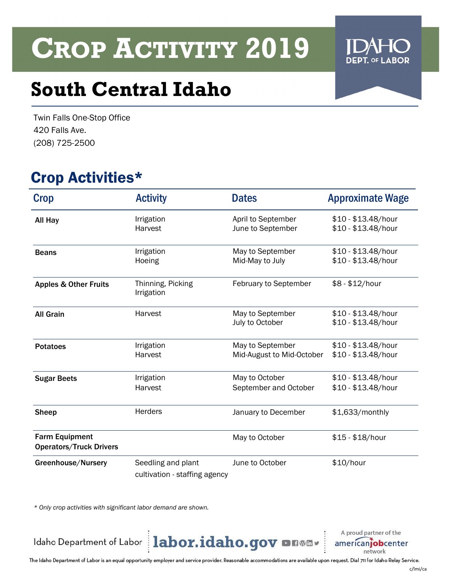## **South Central Idaho**

Twin Falls One-Stop Office 420 Falls Ave. (208) 725-2500

### Crop Activities\*

| <b>Crop</b>                                             | <b>Activity</b>                                     | <b>Dates</b>                                  | <b>Approximate Wage</b>                    |
|---------------------------------------------------------|-----------------------------------------------------|-----------------------------------------------|--------------------------------------------|
| All Hay                                                 | Irrigation<br>Harvest                               | April to September<br>June to September       | \$10 - \$13.48/hour<br>\$10 - \$13.48/hour |
| <b>Beans</b>                                            | Irrigation<br>Hoeing                                | May to September<br>Mid-May to July           | $$10 - $13.48/hour$<br>\$10 - \$13.48/hour |
| <b>Apples &amp; Other Fruits</b>                        | Thinning, Picking<br>Irrigation                     | February to September                         | $$8 - $12/hour$                            |
| <b>All Grain</b>                                        | Harvest                                             | May to September<br>July to October           | $$10 - $13.48/hour$<br>\$10 - \$13.48/hour |
| <b>Potatoes</b>                                         | Irrigation<br>Harvest                               | May to September<br>Mid-August to Mid-October | \$10 - \$13.48/hour<br>\$10 - \$13.48/hour |
| <b>Sugar Beets</b>                                      | Irrigation<br>Harvest                               | May to October<br>September and October       | $$10 - $13.48/hour$<br>\$10 - \$13.48/hour |
| <b>Sheep</b>                                            | <b>Herders</b>                                      | January to December                           | \$1,633/monthly                            |
| <b>Farm Equipment</b><br><b>Operators/Truck Drivers</b> |                                                     | May to October                                | \$15 - \$18/hour                           |
| Greenhouse/Nursery                                      | Seedling and plant<br>cultivation - staffing agency | June to October                               | \$10/hour                                  |

*\* Only crop activities with significant labor demand are shown.*

Idaho Department of Labor | labor.idaho.gov on Will

A proud partner of the americanjobcenter network

The Idaho Department of Labor is an equal opportunity employer and service provider. Reasonable accommodations are available upon request. Dial 711 for Idaho Relay Service.